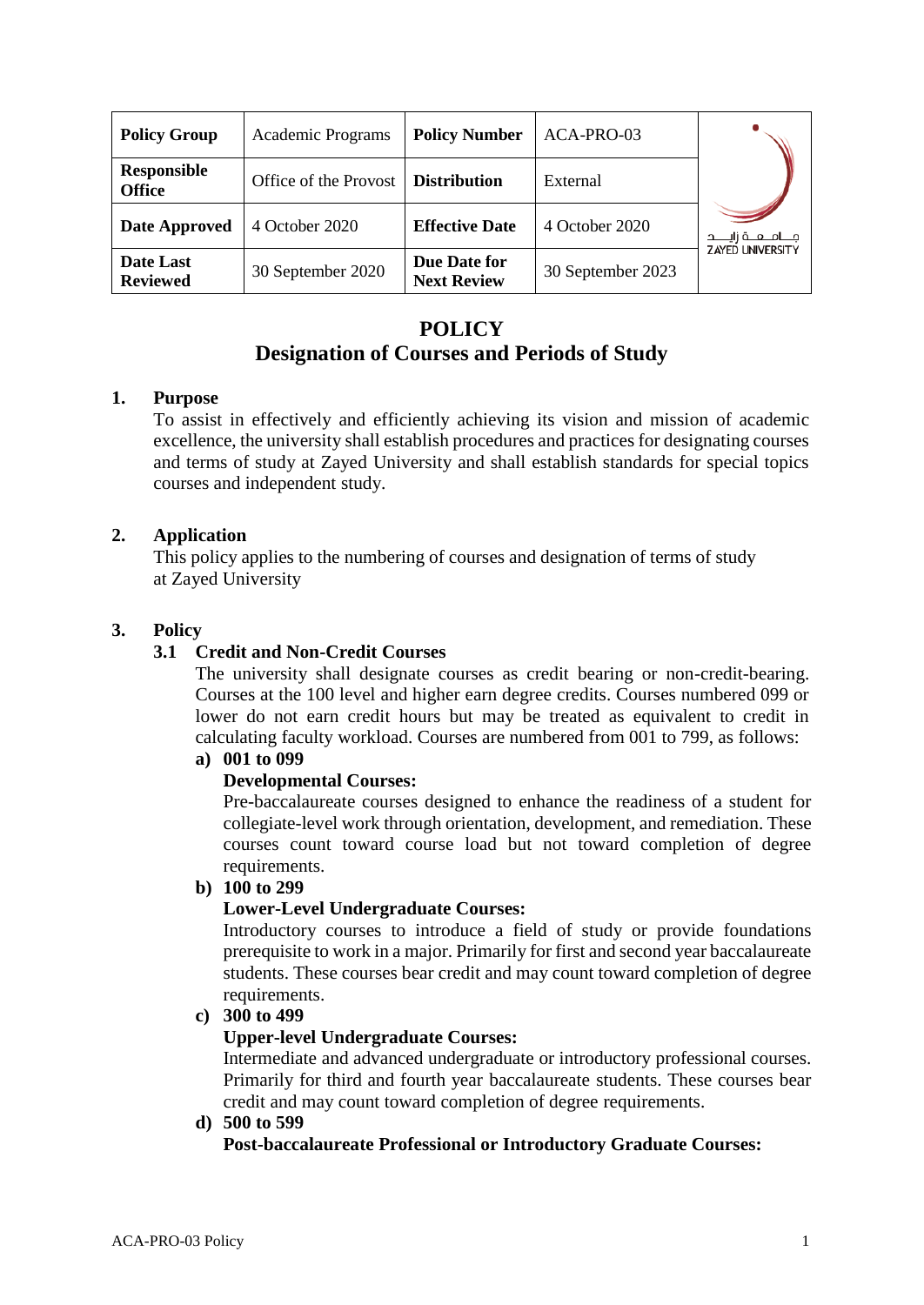| <b>Policy Group</b>                 | Academic Programs     | <b>Policy Number</b>               | ACA-PRO-03        |                          |
|-------------------------------------|-----------------------|------------------------------------|-------------------|--------------------------|
| <b>Responsible</b><br><b>Office</b> | Office of the Provost | <b>Distribution</b>                | External          |                          |
| Date Approved                       | 4 October 2020        | <b>Effective Date</b>              | 4 October 2020    | جـــامـــعـــة زايـــــد |
| Date Last<br><b>Reviewed</b>        | 30 September 2020     | Due Date for<br><b>Next Review</b> | 30 September 2023 | <b>ZAYED UNIVERSITY</b>  |

# **POLICY**

# **Designation of Courses and Periods of Study**

# **1. Purpose**

To assist in effectively and efficiently achieving its vision and mission of academic excellence, the university shall establish procedures and practices for designating courses and terms of study at Zayed University and shall establish standards for special topics courses and independent study.

# **2. Application**

This policy applies to the numbering of courses and designation of terms of study at Zayed University

# **3. Policy**

# **3.1 Credit and Non-Credit Courses**

The university shall designate courses as credit bearing or non-credit-bearing. Courses at the 100 level and higher earn degree credits. Courses numbered 099 or lower do not earn credit hours but may be treated as equivalent to credit in calculating faculty workload. Courses are numbered from 001 to 799, as follows: **a) 001 to 099** 

# **Developmental Courses:**

Pre-baccalaureate courses designed to enhance the readiness of a student for collegiate-level work through orientation, development, and remediation. These courses count toward course load but not toward completion of degree requirements.

#### **b) 100 to 299**

#### **Lower-Level Undergraduate Courses:**

Introductory courses to introduce a field of study or provide foundations prerequisite to work in a major. Primarily for first and second year baccalaureate students. These courses bear credit and may count toward completion of degree requirements.

### **c) 300 to 499**

#### **Upper-level Undergraduate Courses:**

Intermediate and advanced undergraduate or introductory professional courses. Primarily for third and fourth year baccalaureate students. These courses bear credit and may count toward completion of degree requirements.

#### **d) 500 to 599**

**Post-baccalaureate Professional or Introductory Graduate Courses:**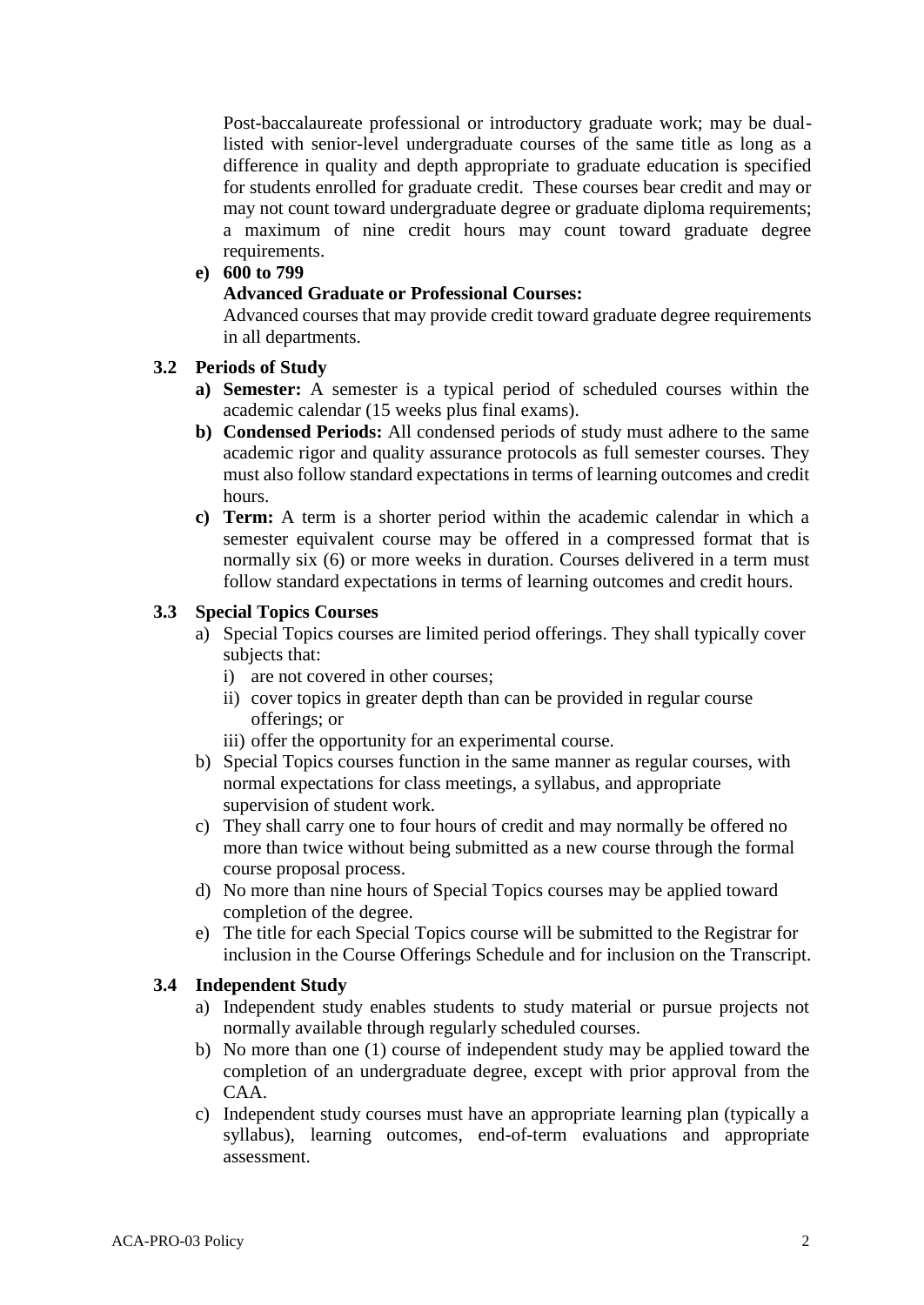Post-baccalaureate professional or introductory graduate work; may be duallisted with senior-level undergraduate courses of the same title as long as a difference in quality and depth appropriate to graduate education is specified for students enrolled for graduate credit. These courses bear credit and may or may not count toward undergraduate degree or graduate diploma requirements; a maximum of nine credit hours may count toward graduate degree requirements.

# **e) 600 to 799**

#### **Advanced Graduate or Professional Courses:**

Advanced courses that may provide credit toward graduate degree requirements in all departments.

# **3.2 Periods of Study**

- **a) Semester:** A semester is a typical period of scheduled courses within the academic calendar (15 weeks plus final exams).
- **b) Condensed Periods:** All condensed periods of study must adhere to the same academic rigor and quality assurance protocols as full semester courses. They must also follow standard expectations in terms of learning outcomes and credit hours.
- **c) Term:** A term is a shorter period within the academic calendar in which a semester equivalent course may be offered in a compressed format that is normally six (6) or more weeks in duration. Courses delivered in a term must follow standard expectations in terms of learning outcomes and credit hours.

#### **3.3 Special Topics Courses**

- a) Special Topics courses are limited period offerings. They shall typically cover subjects that:
	- i) are not covered in other courses;
	- ii) cover topics in greater depth than can be provided in regular course offerings; or
	- iii) offer the opportunity for an experimental course.
- b) Special Topics courses function in the same manner as regular courses, with normal expectations for class meetings, a syllabus, and appropriate supervision of student work.
- c) They shall carry one to four hours of credit and may normally be offered no more than twice without being submitted as a new course through the formal course proposal process.
- d) No more than nine hours of Special Topics courses may be applied toward completion of the degree.
- e) The title for each Special Topics course will be submitted to the Registrar for inclusion in the Course Offerings Schedule and for inclusion on the Transcript.

#### **3.4 Independent Study**

- a) Independent study enables students to study material or pursue projects not normally available through regularly scheduled courses.
- b) No more than one (1) course of independent study may be applied toward the completion of an undergraduate degree, except with prior approval from the CAA.
- c) Independent study courses must have an appropriate learning plan (typically a syllabus), learning outcomes, end-of-term evaluations and appropriate assessment.